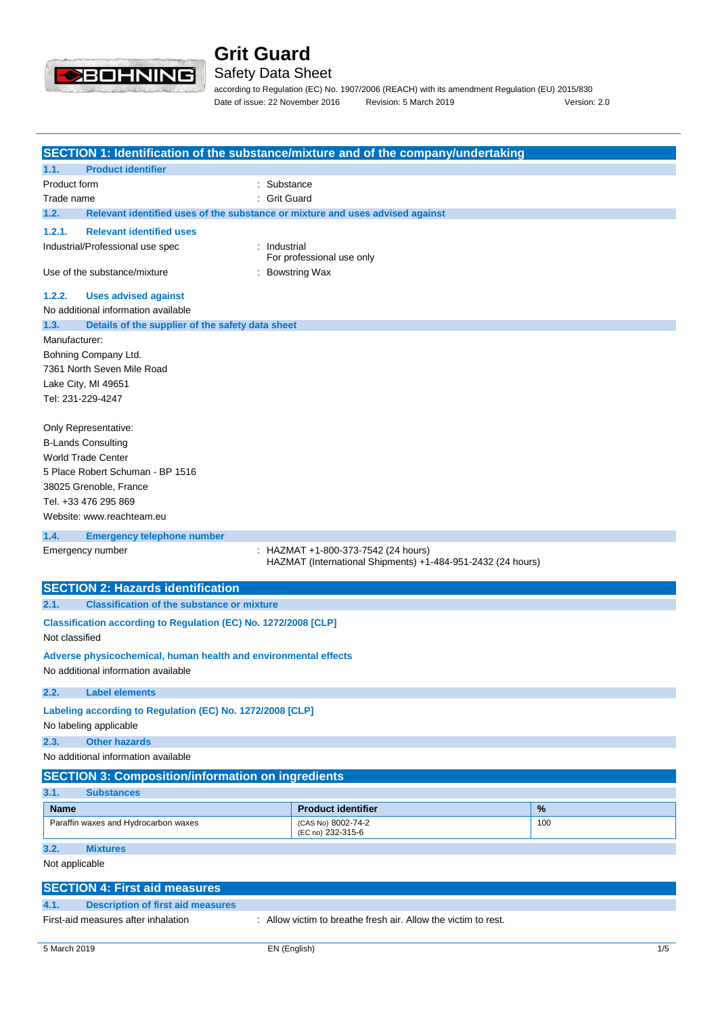

# Safety Data Sheet

according to Regulation (EC) No. 1907/2006 (REACH) with its amendment Regulation (EU) 2015/830 Date of issue: 22 November 2016 Revision: 5 March 2019 Version: 2.0

|                                                                                       | SECTION 1: Identification of the substance/mixture and of the company/undertaking |      |  |
|---------------------------------------------------------------------------------------|-----------------------------------------------------------------------------------|------|--|
| <b>Product identifier</b><br>1.1.                                                     |                                                                                   |      |  |
| Product form                                                                          | Substance                                                                         |      |  |
| Trade name                                                                            | <b>Grit Guard</b>                                                                 |      |  |
| 1.2.<br>Relevant identified uses of the substance or mixture and uses advised against |                                                                                   |      |  |
| 1.2.1.<br><b>Relevant identified uses</b>                                             |                                                                                   |      |  |
| Industrial/Professional use spec<br>: Industrial                                      | For professional use only                                                         |      |  |
| Use of the substance/mixture                                                          | : Bowstring Wax                                                                   |      |  |
| <b>Uses advised against</b><br>1.2.2.                                                 |                                                                                   |      |  |
| No additional information available                                                   |                                                                                   |      |  |
| 1.3.<br>Details of the supplier of the safety data sheet                              |                                                                                   |      |  |
| Manufacturer:                                                                         |                                                                                   |      |  |
| Bohning Company Ltd.                                                                  |                                                                                   |      |  |
| 7361 North Seven Mile Road                                                            |                                                                                   |      |  |
| Lake City, MI 49651                                                                   |                                                                                   |      |  |
| Tel: 231-229-4247                                                                     |                                                                                   |      |  |
|                                                                                       |                                                                                   |      |  |
| Only Representative:                                                                  |                                                                                   |      |  |
| <b>B-Lands Consulting</b>                                                             |                                                                                   |      |  |
| <b>World Trade Center</b>                                                             |                                                                                   |      |  |
| 5 Place Robert Schuman - BP 1516                                                      |                                                                                   |      |  |
| 38025 Grenoble, France                                                                |                                                                                   |      |  |
| Tel. +33 476 295 869                                                                  |                                                                                   |      |  |
| Website: www.reachteam.eu                                                             |                                                                                   |      |  |
| 1.4.                                                                                  |                                                                                   |      |  |
| <b>Emergency telephone number</b><br>Emergency number                                 | HAZMAT +1-800-373-7542 (24 hours)                                                 |      |  |
|                                                                                       | HAZMAT (International Shipments) +1-484-951-2432 (24 hours)                       |      |  |
| <b>SECTION 2: Hazards identification</b>                                              |                                                                                   |      |  |
|                                                                                       |                                                                                   |      |  |
| 2.1.<br><b>Classification of the substance or mixture</b>                             |                                                                                   |      |  |
| Classification according to Regulation (EC) No. 1272/2008 [CLP]<br>Not classified     |                                                                                   |      |  |
| Adverse physicochemical, human health and environmental effects                       |                                                                                   |      |  |
| No additional information available                                                   |                                                                                   |      |  |
| 2.2.<br><b>Label elements</b>                                                         |                                                                                   |      |  |
| Labeling according to Regulation (EC) No. 1272/2008 [CLP]                             |                                                                                   |      |  |
| No labeling applicable                                                                |                                                                                   |      |  |
| 2.3.<br><b>Other hazards</b>                                                          |                                                                                   |      |  |
| No additional information available                                                   |                                                                                   |      |  |
|                                                                                       |                                                                                   |      |  |
| <b>SECTION 3: Composition/information on ingredients</b>                              |                                                                                   |      |  |
| 3.1.<br><b>Substances</b>                                                             |                                                                                   |      |  |
| <b>Name</b>                                                                           | <b>Product identifier</b>                                                         | $\%$ |  |
| Paraffin waxes and Hydrocarbon waxes                                                  | (CAS No) 8002-74-2<br>(EC no) 232-315-6                                           | 100  |  |
| 3.2.<br><b>Mixtures</b>                                                               |                                                                                   |      |  |
| Not applicable                                                                        |                                                                                   |      |  |
| <b>SECTION 4: First aid measures</b>                                                  |                                                                                   |      |  |

First-aid measures after inhalation : Allow victim to breathe fresh air. Allow the victim to rest.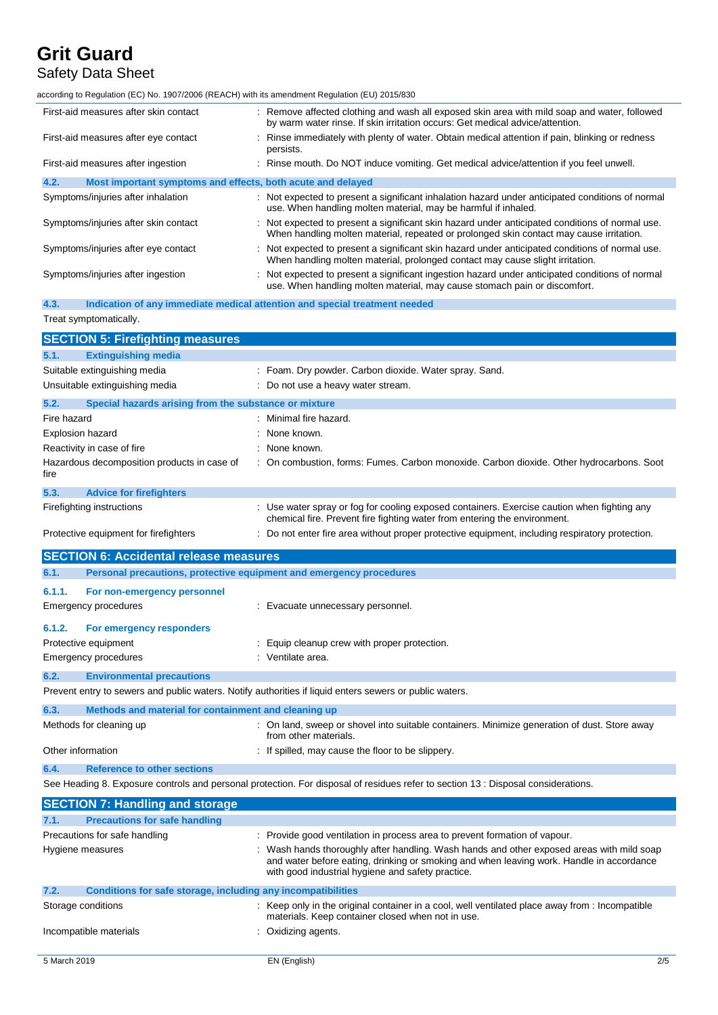# Safety Data Sheet

according to Regulation (EC) No. 1907/2006 (REACH) with its amendment Regulation (EU) 2015/830

| First-aid measures after skin contact                               | : Remove affected clothing and wash all exposed skin area with mild soap and water, followed<br>by warm water rinse. If skin irritation occurs: Get medical advice/attention.              |
|---------------------------------------------------------------------|--------------------------------------------------------------------------------------------------------------------------------------------------------------------------------------------|
| First-aid measures after eye contact                                | : Rinse immediately with plenty of water. Obtain medical attention if pain, blinking or redness<br>persists.                                                                               |
| First-aid measures after ingestion                                  | : Rinse mouth. Do NOT induce vomiting. Get medical advice/attention if you feel unwell.                                                                                                    |
| 4.2.<br>Most important symptoms and effects, both acute and delayed |                                                                                                                                                                                            |
| Symptoms/injuries after inhalation                                  | : Not expected to present a significant inhalation hazard under anticipated conditions of normal<br>use. When handling molten material, may be harmful if inhaled.                         |
| Symptoms/injuries after skin contact                                | : Not expected to present a significant skin hazard under anticipated conditions of normal use.<br>When handling molten material, repeated or prolonged skin contact may cause irritation. |
| Symptoms/injuries after eye contact                                 | : Not expected to present a significant skin hazard under anticipated conditions of normal use.<br>When handling molten material, prolonged contact may cause slight irritation.           |
| Symptoms/injuries after ingestion                                   | : Not expected to present a significant ingestion hazard under anticipated conditions of normal<br>use. When handling molten material, may cause stomach pain or discomfort.               |
|                                                                     |                                                                                                                                                                                            |

**4.3. Indication of any immediate medical attention and special treatment needed** Treat symptomatically.

|                         | <b>SECTION 5: Firefighting measures</b>               |                                                                                                                                                                        |
|-------------------------|-------------------------------------------------------|------------------------------------------------------------------------------------------------------------------------------------------------------------------------|
| 5.1.                    | <b>Extinguishing media</b>                            |                                                                                                                                                                        |
|                         | Suitable extinguishing media                          | : Foam. Dry powder. Carbon dioxide. Water spray. Sand.                                                                                                                 |
|                         | Unsuitable extinguishing media                        | : Do not use a heavy water stream.                                                                                                                                     |
| 5.2.                    | Special hazards arising from the substance or mixture |                                                                                                                                                                        |
| Fire hazard             |                                                       | . Minimal fire hazard.                                                                                                                                                 |
| <b>Explosion hazard</b> |                                                       | None known.                                                                                                                                                            |
|                         | Reactivity in case of fire                            | None known.                                                                                                                                                            |
| fire                    | Hazardous decomposition products in case of           | : On combustion, forms: Fumes. Carbon monoxide. Carbon dioxide. Other hydrocarbons. Soot                                                                               |
| 5.3.                    | <b>Advice for firefighters</b>                        |                                                                                                                                                                        |
|                         | Firefighting instructions                             | Use water spray or fog for cooling exposed containers. Exercise caution when fighting any<br>chemical fire. Prevent fire fighting water from entering the environment. |
|                         | Protective equipment for firefighters                 | Do not enter fire area without proper protective equipment, including respiratory protection.                                                                          |
|                         | <b>SECTION 6: Accidental release measures</b>         |                                                                                                                                                                        |
| 6.1.                    |                                                       | Personal precautions, protective equipment and emergency procedures                                                                                                    |
| 6.1.1.                  | For non-emergency personnel                           |                                                                                                                                                                        |
|                         | Emergency procedures                                  | : Evacuate unnecessary personnel.                                                                                                                                      |
| 6.1.2.                  | For emergency responders                              |                                                                                                                                                                        |
|                         | Protective equipment                                  | Equip cleanup crew with proper protection.                                                                                                                             |
|                         | <b>Emergency procedures</b>                           | : Ventilate area.                                                                                                                                                      |
| 6.2.                    | <b>Environmental precautions</b>                      |                                                                                                                                                                        |
|                         |                                                       | Prevent entry to sewers and public waters. Notify authorities if liquid enters sewers or public waters.                                                                |
| 6.3.                    | Methods and material for containment and cleaning up  |                                                                                                                                                                        |
|                         | Methods for cleaning up                               | : On land, sweep or shovel into suitable containers. Minimize generation of dust. Store away<br>from other materials.                                                  |
|                         | Other information                                     | : If spilled, may cause the floor to be slippery.                                                                                                                      |
| 6.4.                    | <b>Reference to other sections</b>                    |                                                                                                                                                                        |
|                         |                                                       | See Heading 8. Exposure controls and personal protection. For disposal of residues refer to section 13 : Disposal considerations.                                      |
|                         | <b>SECTION 7: Handling and storage</b>                |                                                                                                                                                                        |
| 7.1.                    | <b>Precautions for safe handling</b>                  |                                                                                                                                                                        |

| Precautions for safe handling<br>Hygiene measures                    | : Provide good ventilation in process area to prevent formation of vapour.<br>: Wash hands thoroughly after handling. Wash hands and other exposed areas with mild soap<br>and water before eating, drinking or smoking and when leaving work. Handle in accordance<br>with good industrial hygiene and safety practice. |     |
|----------------------------------------------------------------------|--------------------------------------------------------------------------------------------------------------------------------------------------------------------------------------------------------------------------------------------------------------------------------------------------------------------------|-----|
| 7.2.<br>Conditions for safe storage, including any incompatibilities |                                                                                                                                                                                                                                                                                                                          |     |
| Storage conditions                                                   | : Keep only in the original container in a cool, well ventilated place away from : Incompatible<br>materials. Keep container closed when not in use.                                                                                                                                                                     |     |
| Incompatible materials                                               | : Oxidizing agents.                                                                                                                                                                                                                                                                                                      |     |
| 5 March 2019                                                         | EN (English)                                                                                                                                                                                                                                                                                                             | 2/5 |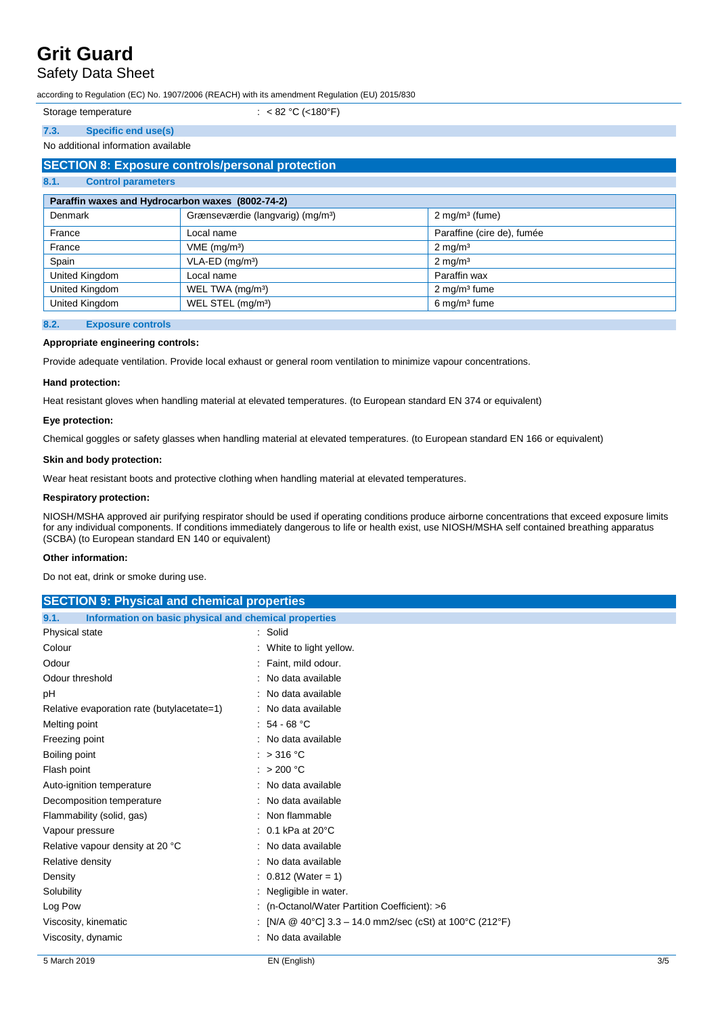# Safety Data Sheet

according to Regulation (EC) No. 1907/2006 (REACH) with its amendment Regulation (EU) 2015/830

:  $< 82 °C$  (<180°F)

# **7.3. Specific end use(s)**

### No additional information available

| <b>SECTION 8: Exposure controls/personal protection</b> |                                               |                              |  |  |
|---------------------------------------------------------|-----------------------------------------------|------------------------------|--|--|
| 8.1.<br><b>Control parameters</b>                       |                                               |                              |  |  |
| Paraffin waxes and Hydrocarbon waxes (8002-74-2)        |                                               |                              |  |  |
| <b>Denmark</b>                                          | Grænseværdie (langvarig) (mg/m <sup>3</sup> ) | $2$ mg/m <sup>3</sup> (fume) |  |  |
| France                                                  | Local name                                    | Paraffine (cire de), fumée   |  |  |
| France                                                  | $VME$ (mg/m <sup>3</sup> )                    | $2 \text{ mg/m}^3$           |  |  |
| Spain                                                   | $VLA-ED$ (mg/m <sup>3</sup> )                 | $2 \text{ mg/m}^3$           |  |  |
| United Kingdom                                          | Local name                                    | Paraffin wax                 |  |  |
| United Kingdom                                          | WEL TWA $(mg/m3)$                             | $2 \text{ mg/m}^3$ fume      |  |  |
| United Kingdom                                          | WEL STEL (mg/m <sup>3</sup> )                 | $6 \,\mathrm{mg/m^3}$ fume   |  |  |

### **8.2. Exposure controls**

## **Appropriate engineering controls:**

Provide adequate ventilation. Provide local exhaust or general room ventilation to minimize vapour concentrations.

#### **Hand protection:**

Heat resistant gloves when handling material at elevated temperatures. (to European standard EN 374 or equivalent)

## **Eye protection:**

Chemical goggles or safety glasses when handling material at elevated temperatures. (to European standard EN 166 or equivalent)

### **Skin and body protection:**

Wear heat resistant boots and protective clothing when handling material at elevated temperatures.

### **Respiratory protection:**

NIOSH/MSHA approved air purifying respirator should be used if operating conditions produce airborne concentrations that exceed exposure limits for any individual components. If conditions immediately dangerous to life or health exist, use NIOSH/MSHA self contained breathing apparatus (SCBA) (to European standard EN 140 or equivalent)

#### **Other information:**

Do not eat, drink or smoke during use.

| <b>SECTION 9: Physical and chemical properties</b>            |                                                          |  |  |
|---------------------------------------------------------------|----------------------------------------------------------|--|--|
| 9.1.<br>Information on basic physical and chemical properties |                                                          |  |  |
| Physical state                                                | : Solid                                                  |  |  |
| Colour                                                        | : White to light yellow.                                 |  |  |
| Odour                                                         | : Faint, mild odour.                                     |  |  |
| Odour threshold                                               | : No data available                                      |  |  |
| рH                                                            | : No data available                                      |  |  |
| Relative evaporation rate (butylacetate=1)                    | : No data available                                      |  |  |
| Melting point                                                 | $: 54 - 68 °C$                                           |  |  |
| Freezing point                                                | : No data available                                      |  |  |
| Boiling point                                                 | : $>316^{\circ}$ C                                       |  |  |
| Flash point                                                   | : $>200$ °C                                              |  |  |
| Auto-ignition temperature                                     | : No data available                                      |  |  |
| Decomposition temperature                                     | : No data available                                      |  |  |
| Flammability (solid, gas)                                     | : Non flammable                                          |  |  |
| Vapour pressure                                               | $: 0.1$ kPa at 20 $^{\circ}$ C                           |  |  |
| Relative vapour density at 20 °C                              | : No data available                                      |  |  |
| Relative density                                              | : No data available                                      |  |  |
| Density                                                       | $: 0.812$ (Water = 1)                                    |  |  |
| Solubility                                                    | : Negligible in water.                                   |  |  |
| Log Pow                                                       | : (n-Octanol/Water Partition Coefficient): >6            |  |  |
| Viscosity, kinematic                                          | : [N/A @ 40°C] 3.3 – 14.0 mm2/sec (cSt) at 100°C (212°F) |  |  |
| Viscosity, dynamic                                            | : No data available                                      |  |  |
|                                                               |                                                          |  |  |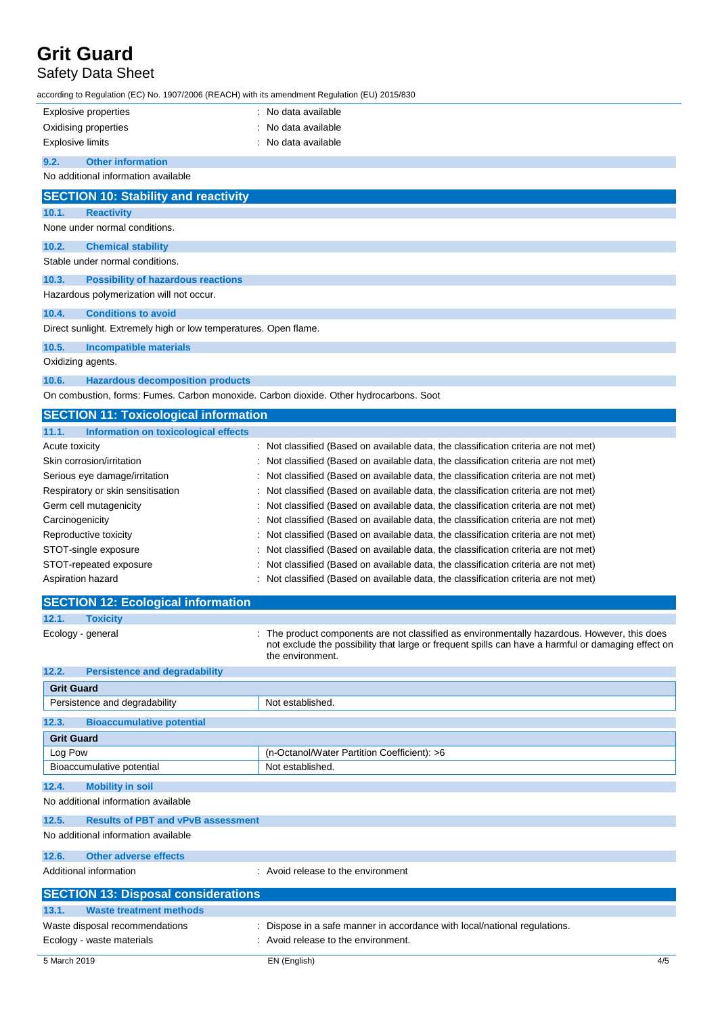# Safety Data Sheet

according to Regulation (EC) No. 1907/2006 (REACH) with its amendment Regulation (EU) 2015/830

| Explosive properties                                                                   | No data available                                                                                                                                                                                                    |  |
|----------------------------------------------------------------------------------------|----------------------------------------------------------------------------------------------------------------------------------------------------------------------------------------------------------------------|--|
| Oxidising properties                                                                   | No data available                                                                                                                                                                                                    |  |
| <b>Explosive limits</b>                                                                | No data available                                                                                                                                                                                                    |  |
| 9.2.<br><b>Other information</b>                                                       |                                                                                                                                                                                                                      |  |
| No additional information available                                                    |                                                                                                                                                                                                                      |  |
| <b>SECTION 10: Stability and reactivity</b>                                            |                                                                                                                                                                                                                      |  |
| 10.1.<br><b>Reactivity</b>                                                             |                                                                                                                                                                                                                      |  |
| None under normal conditions.                                                          |                                                                                                                                                                                                                      |  |
| 10.2.<br><b>Chemical stability</b>                                                     |                                                                                                                                                                                                                      |  |
| Stable under normal conditions.                                                        |                                                                                                                                                                                                                      |  |
| 10.3.<br><b>Possibility of hazardous reactions</b>                                     |                                                                                                                                                                                                                      |  |
| Hazardous polymerization will not occur.                                               |                                                                                                                                                                                                                      |  |
| 10.4.<br><b>Conditions to avoid</b>                                                    |                                                                                                                                                                                                                      |  |
| Direct sunlight. Extremely high or low temperatures. Open flame.                       |                                                                                                                                                                                                                      |  |
| 10.5.<br><b>Incompatible materials</b>                                                 |                                                                                                                                                                                                                      |  |
| Oxidizing agents.                                                                      |                                                                                                                                                                                                                      |  |
| 10.6.<br><b>Hazardous decomposition products</b>                                       |                                                                                                                                                                                                                      |  |
| On combustion, forms: Fumes. Carbon monoxide. Carbon dioxide. Other hydrocarbons. Soot |                                                                                                                                                                                                                      |  |
| <b>SECTION 11: Toxicological information</b>                                           |                                                                                                                                                                                                                      |  |
| 11.1.<br>Information on toxicological effects                                          |                                                                                                                                                                                                                      |  |
| Acute toxicity                                                                         | Not classified (Based on available data, the classification criteria are not met)                                                                                                                                    |  |
| Skin corrosion/irritation                                                              | Not classified (Based on available data, the classification criteria are not met)                                                                                                                                    |  |
| Serious eye damage/irritation                                                          | Not classified (Based on available data, the classification criteria are not met)                                                                                                                                    |  |
| Respiratory or skin sensitisation                                                      | Not classified (Based on available data, the classification criteria are not met)                                                                                                                                    |  |
| Germ cell mutagenicity                                                                 | Not classified (Based on available data, the classification criteria are not met)                                                                                                                                    |  |
| Carcinogenicity                                                                        | Not classified (Based on available data, the classification criteria are not met)                                                                                                                                    |  |
| Reproductive toxicity                                                                  | Not classified (Based on available data, the classification criteria are not met)                                                                                                                                    |  |
| STOT-single exposure                                                                   | Not classified (Based on available data, the classification criteria are not met)                                                                                                                                    |  |
| STOT-repeated exposure                                                                 | Not classified (Based on available data, the classification criteria are not met)                                                                                                                                    |  |
| Aspiration hazard                                                                      | Not classified (Based on available data, the classification criteria are not met)                                                                                                                                    |  |
| <b>SECTION 12: Ecological information</b>                                              |                                                                                                                                                                                                                      |  |
| 12.1.<br><b>Toxicity</b>                                                               |                                                                                                                                                                                                                      |  |
| Ecology - general                                                                      | The product components are not classified as environmentally hazardous. However, this does<br>not exclude the possibility that large or frequent spills can have a harmful or damaging effect on<br>the environment. |  |
| <b>Persistence and degradability</b><br>12.2.                                          |                                                                                                                                                                                                                      |  |
| <b>Grit Guard</b>                                                                      |                                                                                                                                                                                                                      |  |
| Persistence and degradability                                                          | Not established.                                                                                                                                                                                                     |  |
| 12.3.<br><b>Bioaccumulative potential</b>                                              |                                                                                                                                                                                                                      |  |
| <b>Grit Guard</b>                                                                      |                                                                                                                                                                                                                      |  |
| Log Pow                                                                                | (n-Octanol/Water Partition Coefficient): >6                                                                                                                                                                          |  |
| Bioaccumulative potential                                                              | Not established.                                                                                                                                                                                                     |  |
| 12.4.<br><b>Mobility in soil</b>                                                       |                                                                                                                                                                                                                      |  |
| No additional information available                                                    |                                                                                                                                                                                                                      |  |
| 12.5.<br><b>Results of PBT and vPvB assessment</b>                                     |                                                                                                                                                                                                                      |  |
| No additional information available                                                    |                                                                                                                                                                                                                      |  |
| 12.6.<br><b>Other adverse effects</b>                                                  |                                                                                                                                                                                                                      |  |
| Additional information                                                                 | Avoid release to the environment                                                                                                                                                                                     |  |
| <b>SECTION 13: Disposal considerations</b>                                             |                                                                                                                                                                                                                      |  |
| 13.1.<br><b>Waste treatment methods</b>                                                |                                                                                                                                                                                                                      |  |
| Waste disposal recommendations                                                         | : Dispose in a safe manner in accordance with local/national regulations.                                                                                                                                            |  |
| Ecology - waste materials                                                              | : Avoid release to the environment.                                                                                                                                                                                  |  |